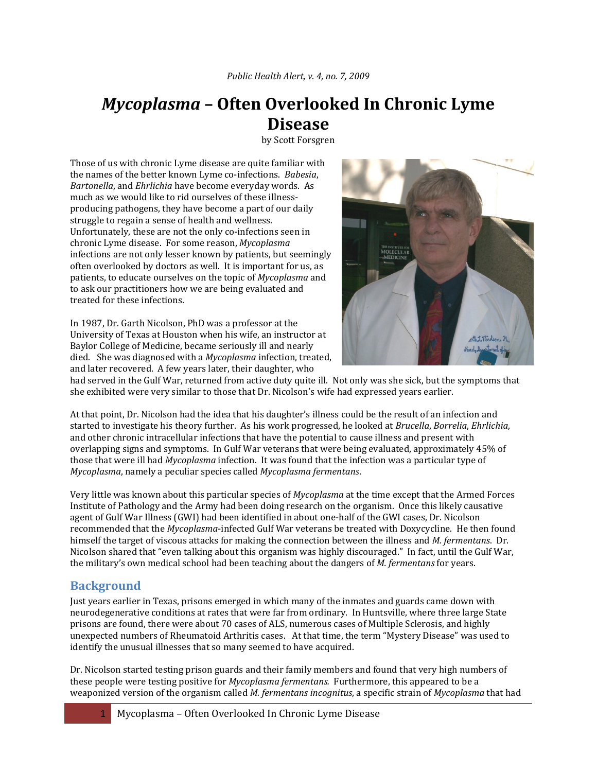# *Mycoplasma* **– Often Overlooked In Chronic Lyme Disease**

by Scott Forsgren

Those of us with chronic Lyme disease are quite familiar with the names of the better known Lyme co‐infections. *Babesia*, *Bartonella*, and *Ehrlichia* have become everyday words. As much as we would like to rid ourselves of these illnessproducing pathogens, they have become a part of our daily struggle to regain a sense of health and wellness. Unfortunately, these are not the only co-infections seen in chronic Lyme disease. For some reason, *Mycoplasma* infections are not only lesser known by patients, but seemingly often overlooked by doctors as well. It is important for us, as patients, to educate ourselves on the topic of *Mycoplasma* and to ask our practitioners how we are being evaluated and treated for these infections.

In 1987, Dr. Garth Nicolson, PhD was a professor at the University of Texas at Houston when his wife, an instructor at Baylor College of Medicine, became seriously ill and nearly died. She was diagnosed with a *Mycoplasma* infection, treated, and later recovered. A few years later, their daughter, who



had served in the Gulf War, returned from active duty quite ill. Not only was she sick, but the symptoms that she exhibited were very similar to those that Dr. Nicolson's wife had expressed years earlier.

At that point, Dr. Nicolson had the idea that his daughter's illness could be the result of an infection and started to investigate his theory further. As his work progressed, he looked at *Brucella*, *Borrelia*, *Ehrlichia*, and other chronic intracellular infections that have the potential to cause illness and present with overlapping signs and symptoms. In Gulf War veterans that were being evaluated, approximately 45% of those that were ill had *Mycoplasma* infection. It was found that the infection was a particular type of *Mycoplasma*, namely a peculiar species called *Mycoplasma fermentans*.

Very little was known about this particular species of *Mycoplasma* at the time except that the Armed Forces Institute of Pathology and the Army had been doing research on the organism. Once this likely causative agent of Gulf War Illness (GWI) had been identified in about one‐half of the GWI cases, Dr. Nicolson recommended that the *Mycoplasma*‐infected Gulf War veterans be treated with Doxycycline. He then found himself the target of viscous attacks for making the connection between the illness and *M. fermentans*. Dr. Nicolson shared that "even talking about this organism was highly discouraged." In fact, until the Gulf War, the military's own medical school had been teaching about the dangers of *M. fermentans* for years.

# **Background**

Just years earlier in Texas, prisons emerged in which many of the inmates and guards came down with neurodegenerative conditions at rates that were far from ordinary. In Huntsville, where three large State prisons are found, there were about 70 cases of ALS, numerous cases of Multiple Sclerosis, and highly unexpected numbers of Rheumatoid Arthritis cases. At that time, the term "Mystery Disease" was used to identify the unusual illnesses that so many seemed to have acquired.

Dr. Nicolson started testing prison guards and their family members and found that very high numbers of these people were testing positive for *Mycoplasma fermentans.* Furthermore, this appeared to be a weaponized version of the organism called *M. fermentans incognitus*, a specific strain of *Mycoplasma* that had

Mycoplasma – Often Overlooked In Chronic Lyme Disease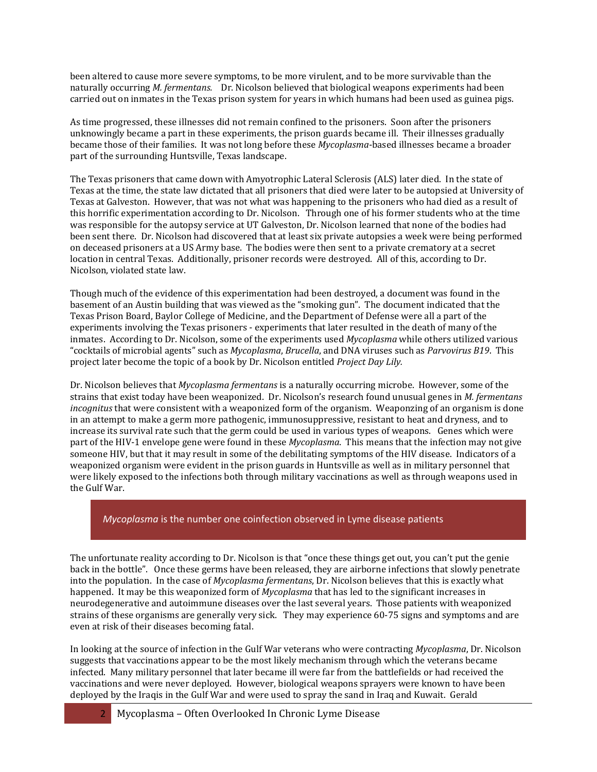been altered to cause more severe symptoms, to be more virulent, and to be more survivable than the naturally occurring *M. fermentans.* Dr. Nicolson believed that biological weapons experiments had been carried out on inmates in the Texas prison system for years in which humans had been used as guinea pigs.

As time progressed, these illnesses did not remain confined to the prisoners. Soon after the prisoners unknowingly became a part in these experiments, the prison guards became ill. Their illnesses gradually became those of their families. It was not long before these *Mycoplasma*‐based illnesses became a broader part of the surrounding Huntsville, Texas landscape.

The Texas prisoners that came down with Amyotrophic Lateral Sclerosis (ALS) later died. In the state of Texas at the time, the state law dictated that all prisoners that died were later to be autopsied at University of Texas at Galveston. However, that was not what was happening to the prisoners who had died as a result of this horrific experimentation according to Dr. Nicolson. Through one of his former students who at the time was responsible for the autopsy service at UT Galveston, Dr. Nicolson learned that none of the bodies had been sent there. Dr. Nicolson had discovered that at least six private autopsies a week were being performed on deceased prisoners at a US Army base. The bodies were then sent to a private crematory at a secret location in central Texas. Additionally, prisoner records were destroyed. All of this, according to Dr. Nicolson, violated state law.

Though much of the evidence of this experimentation had been destroyed, a document was found in the basement of an Austin building that was viewed as the "smoking gun". The document indicated that the Texas Prison Board, Baylor College of Medicine, and the Department of Defense were all a part of the experiments involving the Texas prisoners ‐ experiments that later resulted in the death of many of the inmates. According to Dr. Nicolson, some of the experiments used *Mycoplasma* while others utilized various "cocktails of microbial agents" such as *Mycoplasma*, *Brucella*, and DNA viruses such as *Parvovirus B19*. This project later become the topic of a book by Dr. Nicolson entitled *Project Day Lily.* 

Dr. Nicolson believes that *Mycoplasma fermentans* is a naturally occurring microbe. However, some of the strains that exist today have been weaponized. Dr. Nicolson's research found unusual genes in *M. fermentans incognitus* that were consistent with a weaponized form of the organism. Weaponzing of an organism is done in an attempt to make a germ more pathogenic, immunosuppressive, resistant to heat and dryness, and to increase its survival rate such that the germ could be used in various types of weapons. Genes which were part of the HIV‐1 envelope gene were found in these *Mycoplasma*. This means that the infection may not give someone HIV, but that it may result in some of the debilitating symptoms of the HIV disease. Indicators of a weaponized organism were evident in the prison guards in Huntsville as well as in military personnel that were likely exposed to the infections both through military vaccinations as well as through weapons used in the Gulf War.

*Mycoplasma* is the number one coinfection observed in Lyme disease patients

The unfortunate reality according to Dr. Nicolson is that "once these things get out, you can't put the genie back in the bottle". Once these germs have been released, they are airborne infections that slowly penetrate into the population. In the case of *Mycoplasma fermentans*, Dr. Nicolson believes that this is exactly what happened. It may be this weaponized form of *Mycoplasma* that has led to the significant increases in neurodegenerative and autoimmune diseases over the last several years. Those patients with weaponized strains of these organisms are generally very sick. They may experience 60-75 signs and symptoms and are even at risk of their diseases becoming fatal.

In looking at the source of infection in the Gulf War veterans who were contracting *Mycoplasma*, Dr. Nicolson suggests that vaccinations appear to be the most likely mechanism through which the veterans became infected. Many military personnel that later became ill were far from the battlefields or had received the vaccinations and were never deployed. However, biological weapons sprayers were known to have been deployed by the Iraqis in the Gulf War and were used to spray the sand in Iraq and Kuwait. Gerald

2 Mycoplasma – Often Overlooked In Chronic Lyme Disease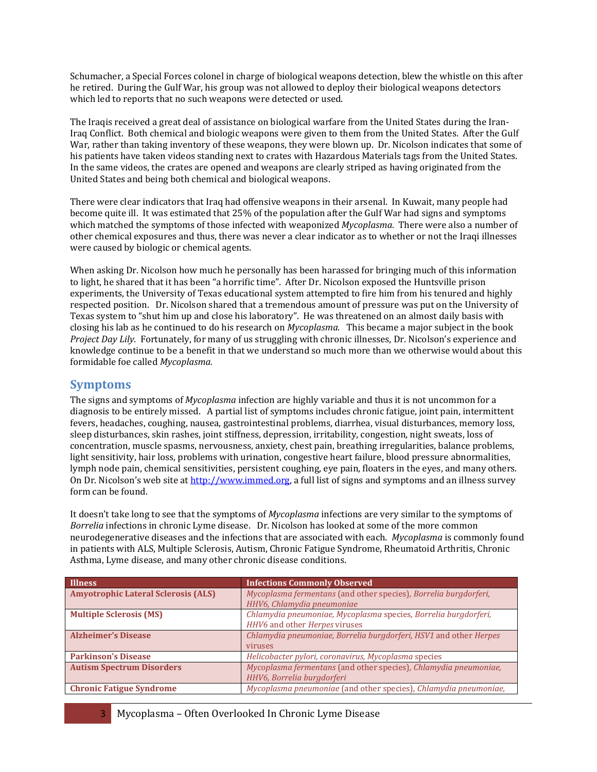Schumacher, a Special Forces colonel in charge of biological weapons detection, blew the whistle on this after he retired. During the Gulf War, his group was not allowed to deploy their biological weapons detectors which led to reports that no such weapons were detected or used.

The Iraqis received a great deal of assistance on biological warfare from the United States during the Iran‐ Iraq Conflict. Both chemical and biologic weapons were given to them from the United States. After the Gulf War, rather than taking inventory of these weapons, they were blown up. Dr. Nicolson indicates that some of his patients have taken videos standing next to crates with Hazardous Materials tags from the United States. In the same videos, the crates are opened and weapons are clearly striped as having originated from the United States and being both chemical and biological weapons.

There were clear indicators that Iraq had offensive weapons in their arsenal. In Kuwait, many people had become quite ill. It was estimated that 25% of the population after the Gulf War had signs and symptoms which matched the symptoms of those infected with weaponized *Mycoplasma*. There were also a number of other chemical exposures and thus, there was never a clear indicator as to whether or not the Iraqi illnesses were caused by biologic or chemical agents.

When asking Dr. Nicolson how much he personally has been harassed for bringing much of this information to light, he shared that it has been "a horrific time". After Dr. Nicolson exposed the Huntsville prison experiments, the University of Texas educational system attempted to fire him from his tenured and highly respected position. Dr. Nicolson shared that a tremendous amount of pressure was put on the University of Texas system to "shut him up and close his laboratory". He was threatened on an almost daily basis with closing his lab as he continued to do his research on *Mycoplasma*. This became a major subject in the book *Project Day Lily*. Fortunately, for many of us struggling with chronic illnesses, Dr. Nicolson's experience and knowledge continue to be a benefit in that we understand so much more than we otherwise would about this formidable foe called *Mycoplasma.* 

#### **Symptoms**

The signs and symptoms of *Mycoplasma* infection are highly variable and thus it is not uncommon for a diagnosis to be entirely missed. A partial list of symptoms includes chronic fatigue, joint pain, intermittent fevers, headaches, coughing, nausea, gastrointestinal problems, diarrhea, visual disturbances, memory loss, sleep disturbances, skin rashes, joint stiffness, depression, irritability, congestion, night sweats, loss of concentration, muscle spasms, nervousness, anxiety, chest pain, breathing irregularities, balance problems, light sensitivity, hair loss, problems with urination, congestive heart failure, blood pressure abnormalities, lymph node pain, chemical sensitivities, persistent coughing, eye pain, floaters in the eyes, and many others. On Dr. Nicolson's web site at [http://www.immed.org](http://www.immed.org/), a full list of signs and symptoms and an illness survey form can be found.

It doesn't take long to see that the symptoms of *Mycoplasma* infections are very similar to the symptoms of *Borrelia* infections in chronic Lyme disease. Dr. Nicolson has looked at some of the more common neurodegenerative diseases and the infections that are associated with each. *Mycoplasma* is commonly found in patients with ALS, Multiple Sclerosis, Autism, Chronic Fatigue Syndrome, Rheumatoid Arthritis, Chronic Asthma, Lyme disease, and many other chronic disease conditions.

| <b>Illness</b>                             | <b>Infections Commonly Observed</b>                                                              |
|--------------------------------------------|--------------------------------------------------------------------------------------------------|
| <b>Amyotrophic Lateral Sclerosis (ALS)</b> | Mycoplasma fermentans (and other species), Borrelia burgdorferi,<br>HHV6, Chlamydia pneumoniae   |
| <b>Multiple Sclerosis (MS)</b>             | Chlamydia pneumoniae, Mycoplasma species, Borrelia burgdorferi,<br>HHV6 and other Herpes viruses |
| <b>Alzheimer's Disease</b>                 | Chlamydia pneumoniae, Borrelia burgdorferi, HSV1 and other Herpes<br>viruses                     |
| <b>Parkinson's Disease</b>                 | Helicobacter pylori, coronavirus, Mycoplasma species                                             |
| <b>Autism Spectrum Disorders</b>           | Mycoplasma fermentans (and other species), Chlamydia pneumoniae,<br>HHV6, Borrelia burgdorferi   |
| <b>Chronic Fatigue Syndrome</b>            | Mycoplasma pneumoniae (and other species), Chlamydia pneumoniae,                                 |

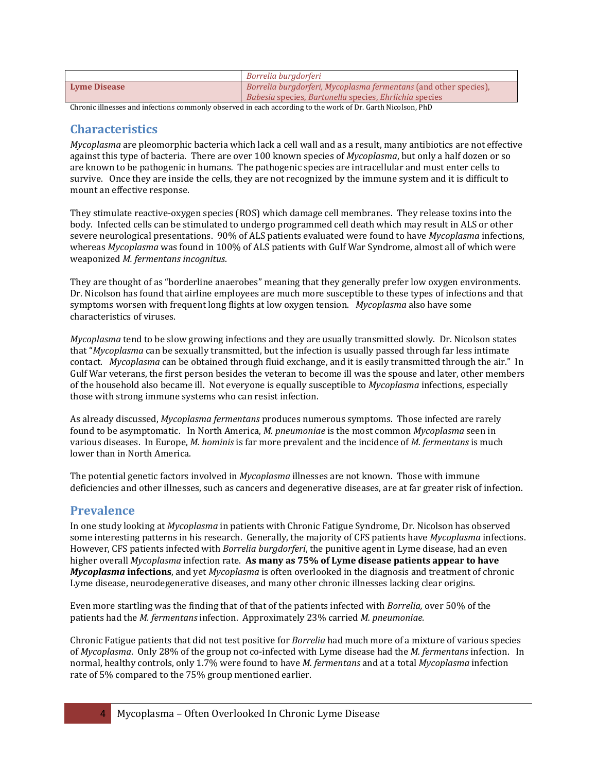|                     | Borrelia burgdorferi                                                                                                       |
|---------------------|----------------------------------------------------------------------------------------------------------------------------|
| <b>Lyme Disease</b> | Borrelia burgdorferi, Mycoplasma fermentans (and other species),<br>Babesia species, Bartonella species, Ehrlichia species |
|                     |                                                                                                                            |

Chronic illnesses and infections commonly observed in each according to the work of Dr. Garth Nicolson, PhD

#### **Characteristics**

*Mycoplasma* are pleomorphic bacteria which lack a cell wall and as a result, many antibiotics are not effective against this type of bacteria. There are over 100 known species of *Mycoplasma*, but only a half dozen or so are known to be pathogenic in humans*.* The pathogenic species are intracellular and must enter cells to survive. Once they are inside the cells, they are not recognized by the immune system and it is difficult to mount an effective response.

They stimulate reactive‐oxygen species (ROS) which damage cell membranes. They release toxins into the body. Infected cells can be stimulated to undergo programmed cell death which may result in ALS or other severe neurological presentations. 90% of ALS patients evaluated were found to have *Mycoplasma* infections, whereas *Mycoplasma* was found in 100% of ALS patients with Gulf War Syndrome, almost all of which were weaponized *M. fermentans incognitus*.

They are thought of as "borderline anaerobes" meaning that they generally prefer low oxygen environments. Dr. Nicolson has found that airline employees are much more susceptible to these types of infections and that symptoms worsen with frequent long flights at low oxygen tension. Nycoplasma also have some characteristics of viruses.

*Mycoplasma* tend to be slow growing infections and they are usually transmitted slowly. Dr. Nicolson states that "*Mycoplasma* can be sexually transmitted, but the infection is usually passed through far less intimate contact. *Mycoplasma* can be obtained through fluid exchange, and it is easily transmitted through the air." In Gulf War veterans, the first person besides the veteran to become ill was the spouse and later, other members of the household also became ill. Not everyone is equally susceptible to *Mycoplasma* infections, especially those with strong immune systems who can resist infection.

As already discussed, *Mycoplasma fermentans* produces numerous symptoms. Those infected are rarely found to be asymptomatic. In North America, *M. pneumoniae* is the most common *Mycoplasma* seen in various diseases. In Europe, *M. hominis* is far more prevalent and the incidence of *M. fermentans* is much lower than in North America.

The potential genetic factors involved in *Mycoplasma* illnesses are not known. Those with immune deficiencies and other illnesses, such as cancers and degenerative diseases, are at far greater risk of infection.

# **Prevalence**

In one study looking at *Mycoplasma* in patients with Chronic Fatigue Syndrome, Dr. Nicolson has observed some interesting patterns in his research. Generally, the majority of CFS patients have *Mycoplasma* infections. However, CFS patients infected with *Borrelia burgdorferi*, the punitive agent in Lyme disease, had an even higher overall *Mycoplasma* infection rate. **As many as 75% of Lyme disease patients appear to have** Mycoplasma infections, and yet *Mycoplasma* is often overlooked in the diagnosis and treatment of chronic Lyme disease, neurodegenerative diseases, and many other chronic illnesses lacking clear origins.

Even more startling was the finding that of that of the patients infected with *Borrelia,* over 50% of the patients had the *M. fermentans* infection. Approximately 23% carried *M. pneumoniae.* 

Chronic Fatigue patients that did not test positive for *Borrelia* had much more of a mixture of various species of *Mycoplasma*. Only 28% of the group not co‐infected with Lyme disease had the *M. fermentans* infection. In normal, healthy controls, only 1.7% were found to have *M. fermentans* and at a total *Mycoplasma* infection rate of 5% compared to the 75% group mentioned earlier.

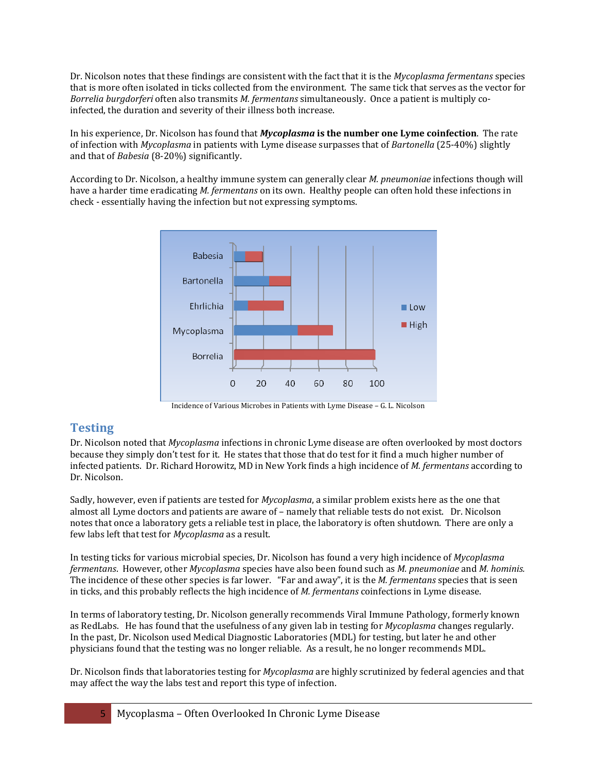Dr. Nicolson notes that these findings are consistent with the fact that it is the *Mycoplasma fermentans* species that is more often isolated in ticks collected from the environment. The same tick that serves as the vector for *orrelia burgdorferi* often also transmits *M. fermentans* simultaneously. Once a patient is multiply co‐ *B* infected, the duration and severity of their illness both increase.

In his experience, Dr. Nicolson has found that *Mycoplasma* **is the number one Lyme coinfection**. The rate of infection with *Mycoplasma* in patients with Lyme disease surpasses that of *Bartonella* (25‐40%) slightly and that of *Babesia* (8‐20%) significantly.

According to Dr. Nicolson, a healthy immune system can generally clear *M. pneumoniae* infections though will have a harder time eradicating *M. fermentans* on its own. Healthy people can often hold these infections in check - essentially having the infection but not expressing symptoms.



Incidence of Various Microbes in Patients with Lyme Disease – G. L. Nicolson

# **Testing**

Dr. Nicolson noted that *Mycoplasma* infections in chronic Lyme disease are often overlooked by most doctors because they simply don't test for it. He states that those that do test for it find a much higher number of infected patients. Dr. Richard Horowitz, MD in New York finds a high incidence of *M. fermentans* according to Dr. Nicolson.

Sadly, however, even if patients are tested for *Mycoplasma*, a similar problem exists here as the one that almost all Lyme doctors and patients are aware of – namely that reliable tests do not exist. Dr. Nicolson notes that once a laboratory gets a reliable test in place, the laboratory is often shutdown. There are only a few labs left that test for *Mycoplasma* as a result.

In testing ticks for various microbial species, Dr. Nicolson has found a very high incidence of *Mycoplasma fermentans*. However, other *Mycoplasma* species have also been found such as *M. pneumoniae* and *M. hominis.*  The incidence of these other species is far lower. "Far and away", it is the *M. fermentans* species that is seen in ticks, and this probably reflects the high incidence of *M. fermentans* coinfections in Lyme disease.

In terms of laboratory testing, Dr. Nicolson generally recommends Viral Immune Pathology, formerly known as RedLabs. He has found that the usefulness of any given lab in testing for *Mycoplasma* changes regularly. In the past, Dr. Nicolson used Medical Diagnostic Laboratories (MDL) for testing, but later he and other physicians found that the testing was no longer reliable. As a result, he no longer recommends MDL.

Dr. Nicolson finds that laboratories testing for *Mycoplasma* are highly scrutinized by federal agencies and that may affect the way the labs test and report this type of infection.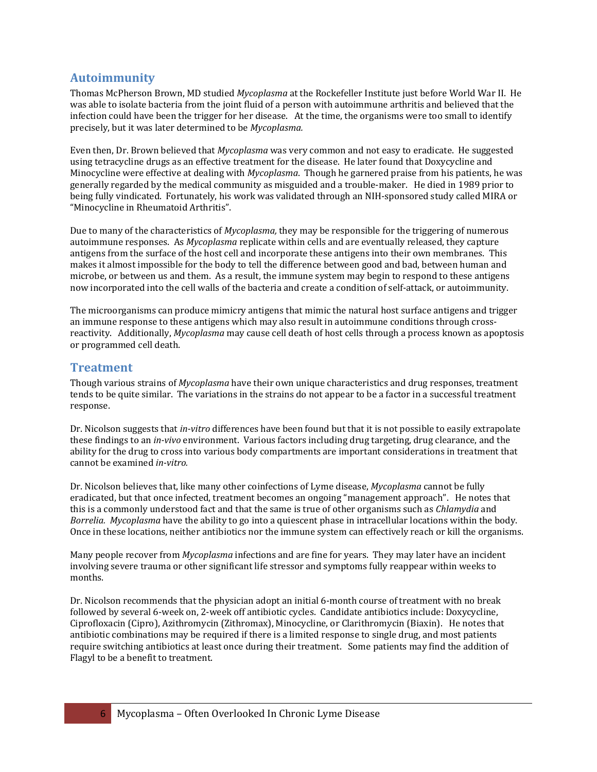#### **Autoimmunity**

Thomas McPherson Brown, MD studied *Mycoplasma* at the Rockefeller Institute just before World War II. He was able to isolate bacteria from the joint fluid of a person with autoimmune arthritis and believed that the infection could have been the trigger for her disease. At the time, the organisms were too small to identify precisely, but it was later determined to be *Mycoplasma.* 

Even then, Dr. Brown believed that *Mycoplasma* was very common and not easy to eradicate. He suggested using tetracycline drugs as an effective treatment for the disease. He later found that Doxycycline and Minocycline were effective at dealing with *Mycoplasma*. Though he garnered praise from his patients, he was generally regarded by the medical community as misguided and a trouble‐maker. He died in 1989 prior to being fully vindicated. Fortunately, his work was validated through an NIH-sponsored study called MIRA or "Minocycline in Rheumatoid Arthritis".

Due to many of the characteristics of *Mycoplasma,* they may be responsible for the triggering of numerous autoimmune responses. As *Mycoplasma* replicate within cells and are eventually released, they capture antigens from the surface of the host cell and incorporate these antigens into their own membranes. This makes it almost impossible for the body to tell the difference between good and bad, between human and microbe, or between us and them. As a result, the immune system may begin to respond to these antigens now incorporated into the cell walls of the bacteria and create a condition of self‐attack, or autoimmunity.

The microorganisms can produce mimicry antigens that mimic the natural host surface antigens and trigger an immune response to these antigens which may also result in autoimmune conditions through crossreactivity. Additionally, *Mycoplasma* may cause cell death of host cells through a process known as apoptosis or programmed cell death.

#### **Treatment**

Though various strains of *Mycoplasma* have their own unique characteristics and drug responses, treatment tends to be quite similar. The variations in the strains do not appear to be a factor in a successful treatment response.

Dr. Nicolson suggests that *invitro* differences have been found but that it is not possible to easily extrapolate these findings to an *invivo* environment. Various factors including drug targeting, drug clearance, and the ability for the drug to cross into various body compartments are important considerations in treatment that cannot be examined *invitro.* 

Dr. Nicolson believes that, like many other coinfections of Lyme disease, *Mycoplasma* cannot be fully eradicated, but that once infected, treatment becomes an ongoing "management approach". He notes that this is a commonly understood fact and that the same is true of other organisms such as *Chlamydia* and Borrelia. Mycoplasma have the ability to go into a quiescent phase in intracellular locations within the body. Once in these locations, neither antibiotics nor the immune system can effectively reach or kill the organisms.

Many people recover from *Mycoplasma* infections and are fine for years. They may later have an incident involving severe trauma or other significant life stressor and symptoms fully reappear within weeks to months.

Dr. Nicolson recommends that the physician adopt an initial 6-month course of treatment with no break followed by several 6‐week on, 2‐week off antibiotic cycles. Candidate antibiotics include: Doxycycline, Ciprofloxacin (Cipro), Azithromycin (Zithromax), Minocycline, or Clarithromycin (Biaxin). He notes that antibiotic combinations may be required if there is a limited response to single drug, and most patients require switching antibiotics at least once during their treatment. Some patients may find the addition of Flagyl to be a benefit to treatment.

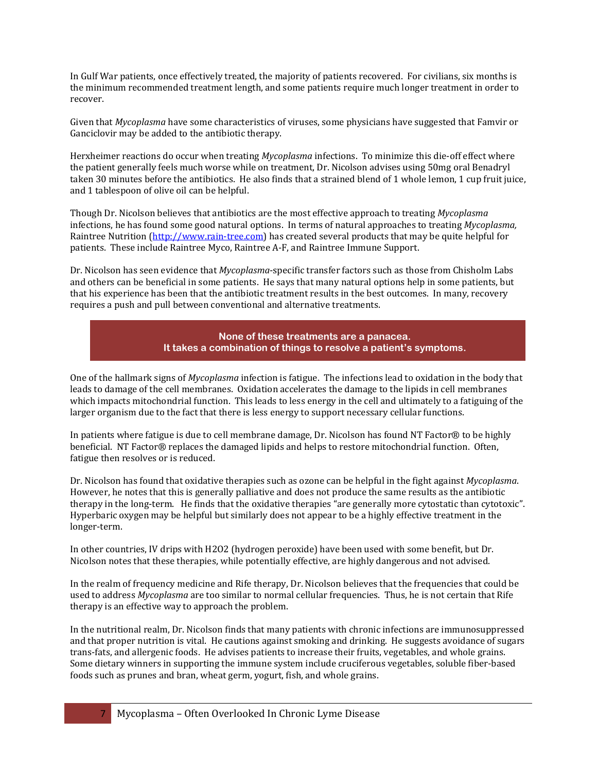In Gulf War patients, once effectively treated, the majority of patients recovered. For civilians, six months is the minimum recommended treatment length, and some patients require much longer treatment in order to recover.

Given that *Mycoplasma* have some characteristics of viruses, some physicians have suggested that Famvir or Ganciclovir may be added to the antibiotic therapy.

Herxheimer reactions do occur when treating *Mycoplasma* infections. To minimize this die-off effect where the patient generally feels much worse while on treatment, Dr. Nicolson advises using 50mg oral Benadryl taken 30 minutes before the antibiotics. He also finds that a strained blend of 1 whole lemon, 1 cup fruit juice, and 1 tablespoon of olive oil can be helpful.

Though Dr. Nicolson believes that antibiotics are the most effective approach to treating *Mycoplasma* infections, he has found some good natural options. In terms of natural approaches to treating *Mycoplasma,* Raintree Nutrition (http://www.rain-tree.com) has created several products that may be quite helpful for patients. These include Raintree Myco, Raintree A‐F, and Raintree Immune Support.

Dr. Nicolson has seen evidence that *Mycoplasma*‐specific transfer factors such as those from Chisholm Labs and others can be beneficial in some patients. He says that many natural options help in some patients, but that his experience has been that the antibiotic treatment results in the best outcomes. In many, recovery requires a push and pull between conventional and alternative treatments.



One of the hallmark signs of *Mycoplasma* infection is fatigue. The infections lead to oxidation in the body that leads to damage of the cell membranes. Oxidation accelerates the damage to the lipids in cell membranes which impacts mitochondrial function. This leads to less energy in the cell and ultimately to a fatiguing of the larger organism due to the fact that there is less energy to support necessary cellular functions.

In patients where fatigue is due to cell membrane damage, Dr. Nicolson has found NT Factor® to be highly beneficial. NT Factor® replaces the damaged lipids and helps to restore mitochondrial function. Often, fatigue then resolves or is reduced.

Dr. Nicolson has found that oxidative therapies such as ozone can be helpful in the fight against *Mycoplasma*. However, he notes that this is generally palliative and does not produce the same results as the antibiotic therapy in the long-term. He finds that the oxidative therapies "are generally more cytostatic than cytotoxic". Hyperbaric oxygen may be helpful but similarly does not appear to be a highly effective treatment in the longer‐term.

In other countries, IV drips with H2O2 (hydrogen peroxide) have been used with some benefit, but Dr. Nicolson notes that these therapies, while potentially effective, are highly dangerous and not advised.

In the realm of frequency medicine and Rife therapy, Dr. Nicolson believes that the frequencies that could be used to address *Mycoplasma* are too similar to normal cellular frequencies. Thus, he is not certain that Rife therapy is an effective way to approach the problem.

In the nutritional realm, Dr. Nicolson finds that many patients with chronic infections are immunosuppressed and that proper nutrition is vital. He cautions against smoking and drinking. He suggests avoidance of sugars trans‐fats, and allergenic foods. He advises patients to increase their fruits, vegetables, and whole grains. Some dietary winners in supporting the immune system include cruciferous vegetables, soluble fiber-based foods such as prunes and bran, wheat germ, yogurt, fish, and whole grains.

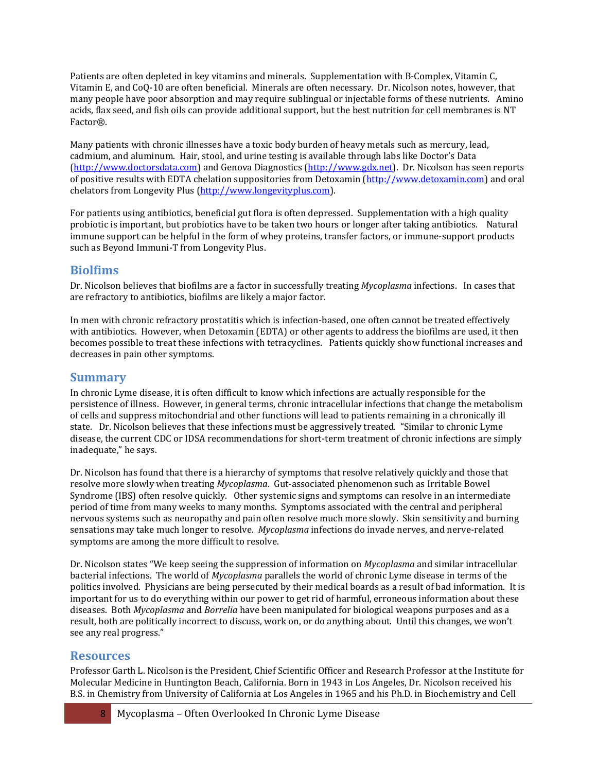Patients are often depleted in key vitamins and minerals. Supplementation with B-Complex, Vitamin C, Vitamin E, and CoQ‐10 are often beneficial. Minerals are often necessary. Dr. Nicolson notes, however, that many people have poor absorption and may require sublingual or injectable forms of these nutrients. Amino acids, flax seed, and fish oils can provide additional support, but the best nutrition for cell membranes is NT Factor®.

Many patients with chronic illnesses have a toxic body burden of heavy metals such as mercury, lead, cadmium, and aluminum. Hair, stool, and urine testing is available through labs like Doctor's Data ([http://www.doctorsdata.com\)](http://www.doctorsdata.com/) and Genova Diagnostics [\(http://www.gdx.net](http://www.gdx.net/)[\). Dr. Nicolson has see](http://www.detoxamin.com/)n reports of positive results with EDTA chelation suppositories from Detoxamin (http://www.detoxamin.com) and oral chelators from Longevity Plus (http://www.longevityplus.com).

For patients using antibiotics, beneficial gut flora is often depressed. Supplementation with a high quality probiotic is important, but probiotics have to be taken two hours or longer after taking antibiotics. Natural immune support can be helpful in the form of whey proteins, transfer factors, or immune-support products such as Beyond Immuni‐T from Longevity Plus.

#### **Biolfims**

Dr. Nicolson believes that biofilms are a factor in successfully treating *Mycoplasma* infections. In cases that are refractory to antibiotics, biofilms are likely a major factor.

In men with chronic refractory prostatitis which is infection-based, one often cannot be treated effectively with antibiotics. However, when Detoxamin (EDTA) or other agents to address the biofilms are used, it then becomes possible to treat these infections with tetracyclines. Patients quickly show functional increases and decreases in pain other symptoms.

# **Summary**

In chronic Lyme disease, it is often difficult to know which infections are actually responsible for the persistence of illness. However, in general terms, chronic intracellular infections that change the metabolism of cells and suppress mitochondrial and other functions will lead to patients remaining in a chronically ill state. Dr. Nicolson believes that these infections must be aggressively treated. "Similar to chronic Lyme disease, the current CDC or IDSA recommendations for short-term treatment of chronic infections are simply inadequate," he says.

Dr. Nicolson has found that there is a hierarchy of symptoms that resolve relatively quickly and those that resolve more slowly when treating *Mycoplasma*. Gut‐associated phenomenon such as Irritable Bowel Syndrome (IBS) often resolve quickly. Other systemic signs and symptoms can resolve in an intermediate period of time from many weeks to many months. Symptoms associated with the central and peripheral nervous systems such as neuropathy and pain often resolve much more slowly. Skin sensitivity and burning sensations may take much longer to resolve. *Mycoplasma* infections do invade nerves, and nerve-related symptoms are among the more difficult to resolve.

Dr. Nicolson states "We keep seeing the suppression of information on *Mycoplasma* and similar intracellular bacterial infections. The world of *Mycoplasma* parallels the world of chronic Lyme disease in terms of the politics involved. Physicians are being persecuted by their medical boards as a result of bad information. It is important for us to do everything within our power to get rid of harmful, erroneous information about these diseases. Both *Mycoplasma* and *Borrelia* have been manipulated for biological weapons purposes and as a result, both are politically incorrect to discuss, work on, or do anything about. Until this changes, we won't see any real progress."

#### **Resources**

Professor Garth L. Nicolson is the President, Chief Scientific Officer and Research Professor at the Institute for Molecular Medicine in Huntington Beach, California. Born in 1943 in Los Angeles, Dr. Nicolson received his B.S. in Chemistry from University of California at Los Angeles in 1965 and his Ph.D. in Biochemistry and Cell

8 Mycoplasma – Often Overlooked In Chronic Lyme Disease